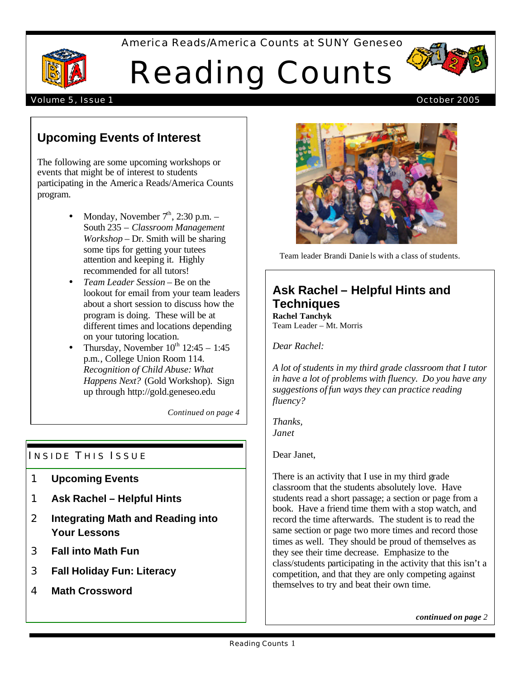America Reads/America Counts at SUNY Geneseo

# Reading Counts



# Volume 5, Issue 1 October 2005

# **Upcoming Events of Interest**

The following are some upcoming workshops or events that might be of interest to students participating in the Americ a Reads/America Counts program.

- Monday, November  $7<sup>th</sup>$ , 2:30 p.m. South 235 – *Classroom Management Workshop* – Dr. Smith will be sharing some tips for getting your tutees attention and keeping it. Highly recommended for all tutors!
- *Team Leader Session* Be on the lookout for email from your team leaders about a short session to discuss how the program is doing. These will be at different times and locations depending on your tutoring location.
- Thursday, November  $10^{th}$  12:45 1:45 p.m., College Union Room 114. *Recognition of Child Abuse: What Happens Next?* (Gold Workshop). Sign up through http://gold.geneseo.edu

*Continued on page 4*

# INSIDE THIS ISSUE

- 1 **Upcoming Events**
- 1 **Ask Rachel Helpful Hints**
- 2 **Integrating Math and Reading into Your Lessons**
- 3 **Fall into Math Fun**
- 3 **Fall Holiday Fun: Literacy**
- 4 **Math Crossword**



Team leader Brandi Danie ls with a class of students.

# **Ask Rachel – Helpful Hints and Techniques**

**Rachel Tanchyk** Team Leader – Mt. Morris

*Dear Rachel:*

*A lot of students in my third grade classroom that I tutor in have a lot of problems with fluency. Do you have any suggestions of fun ways they can practice reading fluency?*

*Thanks, Janet*

Dear Janet,

There is an activity that I use in my third grade classroom that the students absolutely love. Have students read a short passage; a section or page from a book. Have a friend time them with a stop watch, and record the time afterwards. The student is to read the same section or page two more times and record those times as well. They should be proud of themselves as they see their time decrease. Emphasize to the class/students participating in the activity that this isn't a competition, and that they are only competing against themselves to try and beat their own time.

*continued on page 2*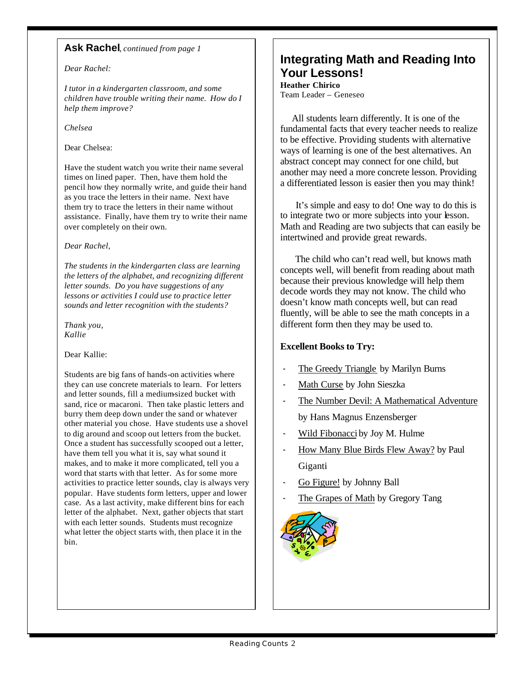# **Ask Rachel**, *continued from page 1*

## *Dear Rachel:*

*I tutor in a kindergarten classroom, and some children have trouble writing their name. How do I help them improve?*

*Chelsea*

## Dear Chelsea:

Have the student watch you write their name several times on lined paper. Then, have them hold the pencil how they normally write, and guide their hand as you trace the letters in their name. Next have them try to trace the letters in their name without assistance. Finally, have them try to write their name over completely on their own.

## *Dear Rachel,*

*The students in the kindergarten class are learning the letters of the alphabet, and recognizing different letter sounds. Do you have suggestions of any lessons or activities I could use to practice letter sounds and letter recognition with the students?*

*Thank you, Kallie*

#### Dear Kallie:

Students are big fans of hands-on activities where they can use concrete materials to learn. For letters and letter sounds, fill a medium-sized bucket with sand, rice or macaroni. Then take plastic letters and burry them deep down under the sand or whatever other material you chose. Have students use a shovel to dig around and scoop out letters from the bucket. Once a student has successfully scooped out a letter, have them tell you what it is, say what sound it makes, and to make it more complicated, tell you a word that starts with that letter. As for some more activities to practice letter sounds, clay is always very popular. Have students form letters, upper and lower case. As a last activity, make different bins for each letter of the alphabet. Next, gather objects that start with each letter sounds. Students must recognize what letter the object starts with, then place it in the bin.

# **Integrating Math and Reading Into Your Lessons!**

**Heather Chirico** Team Leader – Geneseo

 All students learn differently. It is one of the fundamental facts that every teacher needs to realize to be effective. Providing students with alternative ways of learning is one of the best alternatives. An abstract concept may connect for one child, but another may need a more concrete lesson. Providing a differentiated lesson is easier then you may think!

 It's simple and easy to do! One way to do this is to integrate two or more subjects into your lesson. Math and Reading are two subjects that can easily be intertwined and provide great rewards.

 The child who can't read well, but knows math concepts well, will benefit from reading about math because their previous knowledge will help them decode words they may not know. The child who doesn't know math concepts well, but can read fluently, will be able to see the math concepts in a different form then they may be used to.

# **Excellent Books to Try:**

- The Greedy Triangle by Marilyn Burns
- Math Curse by John Sieszka
- The Number Devil: A Mathematical Adventure by Hans Magnus Enzensberger
- Wild Fibonacci by Joy M. Hulme
- How Many Blue Birds Flew Away? by Paul Giganti
- Go Figure! by Johnny Ball
- The Grapes of Math by Gregory Tang

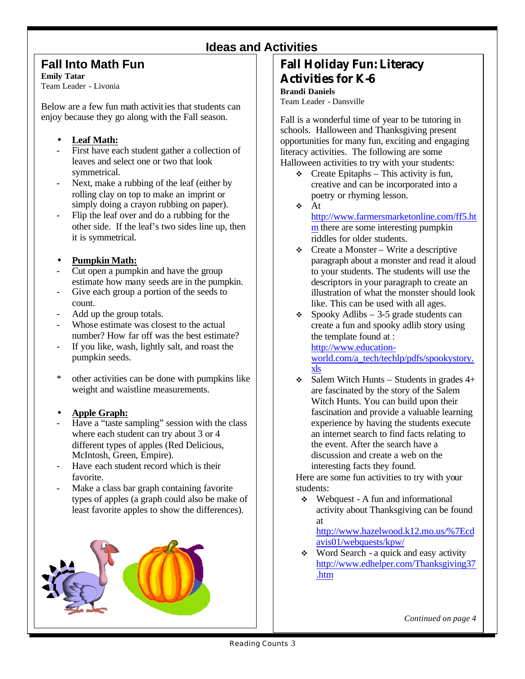# **Ideas and Activities**

# **Fall Into Math Fun**

**Emily Tatar**

Team Leader - Livonia

Below are a few fun math activities that students can enjoy because they go along with the Fall season.

# • **Leaf Math:**

- First have each student gather a collection of leaves and select one or two that look symmetrical.
- Next, make a rubbing of the leaf (either by rolling clay on top to make an imprint or simply doing a crayon rubbing on paper).
- Flip the leaf over and do a rubbing for the other side. If the leaf's two sides line up, then it is symmetrical.

# • **Pumpkin Math:**

- Cut open a pumpkin and have the group estimate how many seeds are in the pumpkin.
- Give each group a portion of the seeds to count.
- Add up the group totals.
- Whose estimate was closest to the actual number? How far off was the best estimate?
- If you like, wash, lightly salt, and roast the pumpkin seeds.
- \* other activities can be done with pumpkins like weight and waistline measurements.

# • **Apple Graph:**

- Have a "taste sampling" session with the class where each student can try about 3 or 4 different types of apples (Red Delicious, McIntosh, Green, Empire).
- Have each student record which is their favorite.
- Make a class bar graph containing favorite types of apples (a graph could also be make of least favorite apples to show the differences).

# **Fall Holiday Fun: Literacy Activities for K-6**

# **Brandi Daniels**

Team Leader - Dansville

Fall is a wonderful time of year to be tutoring in schools. Halloween and Thanksgiving present opportunities for many fun, exciting and engaging literacy activities. The following are some Halloween activities to try with your students:

- $\div$  Create Epitaphs This activity is fun, creative and can be incorporated into a poetry or rhyming lesson.
- $\div$  At

http://www.farmersmarketonline.com/ff5.ht m there are some interesting pumpkin riddles for older students.

- $\div$  Create a Monster Write a descriptive paragraph about a monster and read it aloud to your students. The students will use the descriptors in your paragraph to create an illustration of what the monster should look like. This can be used with all ages.
- Spooky Adlibs 3-5 grade students can create a fun and spooky adlib story using the template found at :

http://www.education-

world.com/a\_tech/techlp/pdfs/spookystory. xls

 $\div$  Salem Witch Hunts – Students in grades 4+ are fascinated by the story of the Salem Witch Hunts. You can build upon their fascination and provide a valuable learning experience by having the students execute an internet search to find facts relating to the event. After the search have a discussion and create a web on the interesting facts they found.

Here are some fun activities to try with your students:

 $\div$  Webquest - A fun and informational activity about Thanksgiving can be found at

http://www.hazelwood.k12.mo.us/%7Ecd avis01/webquests/kpw/

 $\bullet$  Word Search - a quick and easy activity http://www.edhelper.com/Thanksgiving37 .htm

*Continued on page 4*